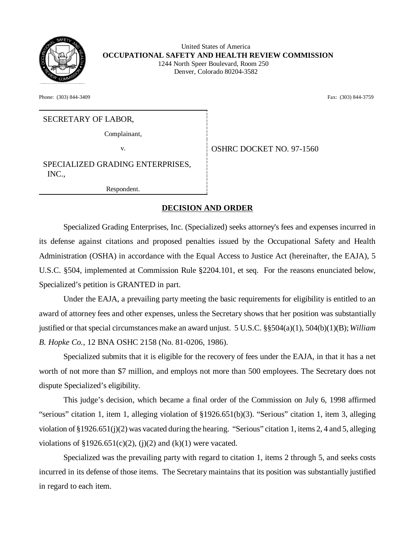

 United States of America **OCCUPATIONAL SAFETY AND HEALTH REVIEW COMMISSION** 1244 North Speer Boulevard, Room 250 Denver, Colorado 80204-3582

Phone: (303) 844-3409 Fax: (303) 844-3759

# SECRETARY OF LABOR,

Complainant,

v. Same **OSHRC DOCKET NO. 97-1560** 

SPECIALIZED GRADING ENTERPRISES, INC.,

Respondent.

#### **DECISION AND ORDER**

Specialized Grading Enterprises, Inc. (Specialized) seeks attorney's fees and expenses incurred in its defense against citations and proposed penalties issued by the Occupational Safety and Health Administration (OSHA) in accordance with the Equal Access to Justice Act (hereinafter, the EAJA), 5 U.S.C. §504, implemented at Commission Rule §2204.101, et seq. For the reasons enunciated below, Specialized's petition is GRANTED in part.

Under the EAJA, a prevailing party meeting the basic requirements for eligibility is entitled to an award of attorney fees and other expenses, unless the Secretary shows that her position was substantially justified or that special circumstances make an award unjust. 5 U.S.C. §§504(a)(1), 504(b)(1)(B); *William B. Hopke Co.*, 12 BNA OSHC 2158 (No. 81-0206, 1986).

Specialized submits that it is eligible for the recovery of fees under the EAJA, in that it has a net worth of not more than \$7 million, and employs not more than 500 employees. The Secretary does not dispute Specialized's eligibility.

This judge's decision, which became a final order of the Commission on July 6, 1998 affirmed "serious" citation 1, item 1, alleging violation of §1926.651(b)(3). "Serious" citation 1, item 3, alleging violation of §1926.651(j)(2) was vacated during the hearing. "Serious" citation 1, items 2, 4 and 5, alleging violations of  $$1926.651(c)(2)$ , (j)(2) and (k)(1) were vacated.

Specialized was the prevailing party with regard to citation 1, items 2 through 5, and seeks costs incurred in its defense of those items. The Secretary maintains that its position was substantially justified in regard to each item.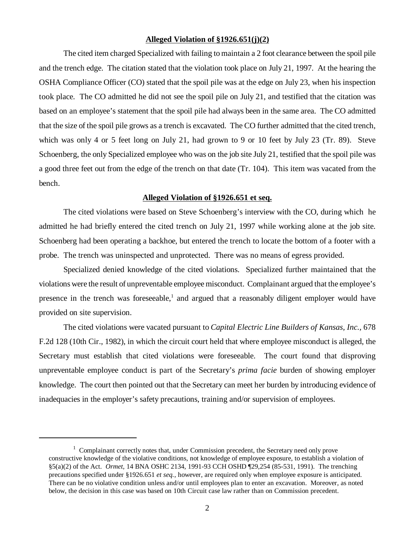#### **Alleged Violation of §1926.651(j)(2)**

The cited item charged Specialized with failing to maintain a 2 foot clearance between the spoil pile and the trench edge. The citation stated that the violation took place on July 21, 1997. At the hearing the OSHA Compliance Officer (CO) stated that the spoil pile was at the edge on July 23, when his inspection took place. The CO admitted he did not see the spoil pile on July 21, and testified that the citation was based on an employee's statement that the spoil pile had always been in the same area. The CO admitted that the size of the spoil pile grows as a trench is excavated. The CO further admitted that the cited trench, which was only 4 or 5 feet long on July 21, had grown to 9 or 10 feet by July 23 (Tr. 89). Steve Schoenberg, the only Specialized employee who was on the job site July 21, testified that the spoil pile was a good three feet out from the edge of the trench on that date (Tr. 104). This item was vacated from the bench.

# **Alleged Violation of §1926.651 et seq.**

The cited violations were based on Steve Schoenberg's interview with the CO, during which he admitted he had briefly entered the cited trench on July 21, 1997 while working alone at the job site. Schoenberg had been operating a backhoe, but entered the trench to locate the bottom of a footer with a probe. The trench was uninspected and unprotected. There was no means of egress provided.

Specialized denied knowledge of the cited violations. Specialized further maintained that the violations were the result of unpreventable employee misconduct. Complainant argued that the employee's presence in the trench was foreseeable,<sup>1</sup> and argued that a reasonably diligent employer would have provided on site supervision.

The cited violations were vacated pursuant to *Capital Electric Line Builders of Kansas, Inc.,* 678 F.2d 128 (10th Cir., 1982), in which the circuit court held that where employee misconduct is alleged, the Secretary must establish that cited violations were foreseeable. The court found that disproving unpreventable employee conduct is part of the Secretary's *prima facie* burden of showing employer knowledge. The court then pointed out that the Secretary can meet her burden by introducing evidence of inadequacies in the employer's safety precautions, training and/or supervision of employees.

 $1$  Complainant correctly notes that, under Commission precedent, the Secretary need only prove constructive knowledge of the violative conditions, not knowledge of employee exposure, to establish a violation of §5(a)(2) of the Act. *Ormet,* 14 BNA OSHC 2134, 1991-93 CCH OSHD ¶29,254 (85-531, 1991). The trenching precautions specified under §1926.651 *et seq.*, however, are required only when employee exposure is anticipated. There can be no violative condition unless and/or until employees plan to enter an excavation. Moreover, as noted below, the decision in this case was based on 10th Circuit case law rather than on Commission precedent.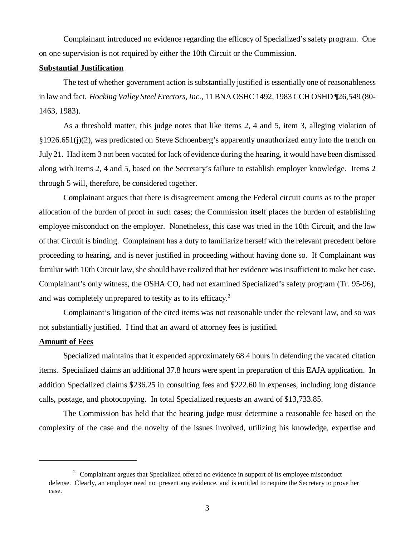Complainant introduced no evidence regarding the efficacy of Specialized's safety program. One on one supervision is not required by either the 10th Circuit or the Commission.

# **Substantial Justification**

The test of whether government action is substantially justified is essentially one of reasonableness in law and fact. *Hocking Valley Steel Erectors, Inc.*, 11 BNA OSHC 1492, 1983 CCH OSHD ¶26,549 (80- 1463, 1983).

As a threshold matter, this judge notes that like items 2, 4 and 5, item 3, alleging violation of §1926.651(j)(2), was predicated on Steve Schoenberg's apparently unauthorized entry into the trench on July 21. Had item 3 not been vacated for lack of evidence during the hearing, it would have been dismissed along with items 2, 4 and 5, based on the Secretary's failure to establish employer knowledge. Items 2 through 5 will, therefore, be considered together.

Complainant argues that there is disagreement among the Federal circuit courts as to the proper allocation of the burden of proof in such cases; the Commission itself places the burden of establishing employee misconduct on the employer. Nonetheless, this case was tried in the 10th Circuit, and the law of that Circuit is binding. Complainant has a duty to familiarize herself with the relevant precedent before proceeding to hearing, and is never justified in proceeding without having done so. If Complainant *was* familiar with 10th Circuit law, she should have realized that her evidence was insufficient to make her case. Complainant's only witness, the OSHA CO, had not examined Specialized's safety program (Tr. 95-96), and was completely unprepared to testify as to its efficacy.<sup>2</sup>

Complainant's litigation of the cited items was not reasonable under the relevant law, and so was not substantially justified. I find that an award of attorney fees is justified.

#### **Amount of Fees**

Specialized maintains that it expended approximately 68.4 hours in defending the vacated citation items. Specialized claims an additional 37.8 hours were spent in preparation of this EAJA application. In addition Specialized claims \$236.25 in consulting fees and \$222.60 in expenses, including long distance calls, postage, and photocopying. In total Specialized requests an award of \$13,733.85.

The Commission has held that the hearing judge must determine a reasonable fee based on the complexity of the case and the novelty of the issues involved, utilizing his knowledge, expertise and

 $2^2$  Complainant argues that Specialized offered no evidence in support of its employee misconduct defense. Clearly, an employer need not present any evidence, and is entitled to require the Secretary to prove her case.